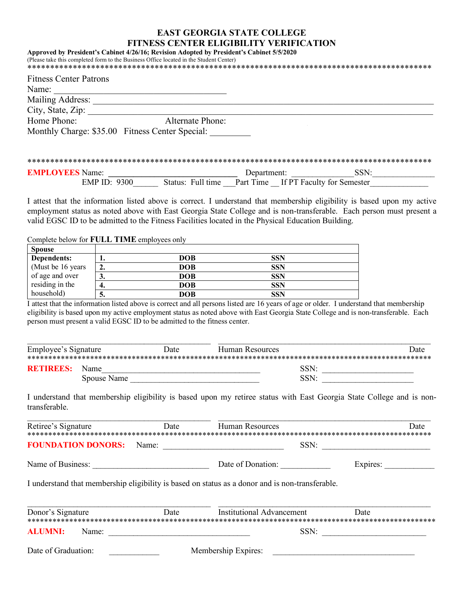## **EAST GEORGIA STATE COLLEGE FITNESS CENTER ELIGIBILITY VERIFICATION Approved by President's Cabinet 4/26/16; Revision Adopted by President's Cabinet 5/5/2020**

|                                                 | Approved by Freshgent S Cabinet 4/20/10, Revision Adopted by Freshgent S Cabinet 3/3/2020<br>(Please take this completed form to the Business Office located in the Student Center) |  |
|-------------------------------------------------|-------------------------------------------------------------------------------------------------------------------------------------------------------------------------------------|--|
| <b>Fitness Center Patrons</b>                   |                                                                                                                                                                                     |  |
| Name:                                           |                                                                                                                                                                                     |  |
| Mailing Address:                                |                                                                                                                                                                                     |  |
| City, State, Zip:                               |                                                                                                                                                                                     |  |
| Home Phone:                                     | <b>Alternate Phone:</b>                                                                                                                                                             |  |
| Monthly Charge: \$35.00 Fitness Center Special: |                                                                                                                                                                                     |  |
|                                                 |                                                                                                                                                                                     |  |
|                                                 |                                                                                                                                                                                     |  |
|                                                 |                                                                                                                                                                                     |  |

| <b>EMPLOYEES</b> Name: |                   | Department:                          | SSN. |  |
|------------------------|-------------------|--------------------------------------|------|--|
| EMP ID: 9300           | Status: Full time | Part Time If PT Faculty for Semester |      |  |

I attest that the information listed above is correct. I understand that membership eligibility is based upon my active employment status as noted above with East Georgia State College and is non-transferable. Each person must present a valid EGSC ID to be admitted to the Fitness Facilities located in the Physical Education Building.

Complete below for **FULL TIME** employees only

| <b>Spouse</b>      |     |            |            |  |
|--------------------|-----|------------|------------|--|
| Dependents:        | . . | <b>DOB</b> | <b>SSN</b> |  |
| (Must be 16 years) |     | DOB        | <b>SSN</b> |  |
| of age and over    | J.  | <b>DOB</b> | <b>SSN</b> |  |
| residing in the    | Д   | <b>DOB</b> | <b>SSN</b> |  |
| household)         | ີ   | DOB        | <b>SSN</b> |  |

I attest that the information listed above is correct and all persons listed are 16 years of age or older. I understand that membership eligibility is based upon my active employment status as noted above with East Georgia State College and is non-transferable. Each person must present a valid EGSC ID to be admitted to the fitness center.

| Employee's Signature |             | Date | Human Resources |      | Date |
|----------------------|-------------|------|-----------------|------|------|
|                      |             |      |                 |      |      |
| <b>RETIREES:</b>     | <b>Name</b> |      |                 | SSN: |      |
|                      | Spouse Name |      |                 | SSN: |      |

I understand that membership eligibility is based upon my retiree status with East Georgia State College and is nontransferable. \_\_\_\_\_\_\_\_\_\_\_\_\_\_\_\_\_\_\_\_\_\_\_\_\_\_\_\_\_\_\_\_\_\_\_\_\_\_\_\_\_\_\_\_ \_\_\_\_\_\_\_\_\_\_\_\_\_\_\_\_\_\_\_\_\_\_\_\_\_\_\_\_\_\_\_\_\_\_\_\_\_\_\_\_\_\_\_\_\_\_\_\_\_\_\_

| Retiree's Signature       | <b>Example 12</b> Date                                     | Human Resources                                                                                 | Date     |
|---------------------------|------------------------------------------------------------|-------------------------------------------------------------------------------------------------|----------|
| <b>FOUNDATION DONORS:</b> |                                                            | Name: $\qquad \qquad$                                                                           | SSN:     |
|                           |                                                            | Date of Donation:                                                                               | Expires: |
|                           |                                                            | I understand that membership eligibility is based on status as a donor and is non-transferable. |          |
|                           |                                                            |                                                                                                 |          |
| Donor's Signature         | <b>Example 12</b> Date                                     | <b>Institutional Advancement</b>                                                                | Date     |
| <b>ALUMNI:</b><br>Name:   | <u> 1989 - John Stein, Amerikaansk politiker (</u> † 1920) |                                                                                                 | SSN:     |
| Date of Graduation:       |                                                            |                                                                                                 |          |
|                           |                                                            |                                                                                                 |          |